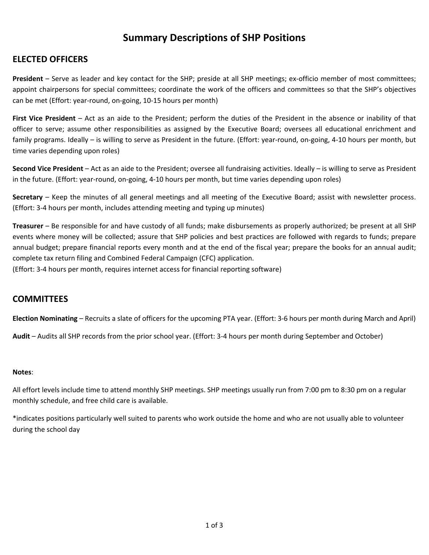# **Summary Descriptions of SHP Positions**

## **ELECTED OFFICERS**

President – Serve as leader and key contact for the SHP; preside at all SHP meetings; ex-officio member of most committees; appoint chairpersons for special committees; coordinate the work of the officers and committees so that the SHP's objectives can be met (Effort: year‐round, on‐going, 10‐15 hours per month)

**First Vice President** – Act as an aide to the President; perform the duties of the President in the absence or inability of that officer to serve; assume other responsibilities as assigned by the Executive Board; oversees all educational enrichment and family programs. Ideally – is willing to serve as President in the future. (Effort: year-round, on-going, 4-10 hours per month, but time varies depending upon roles)

**Second Vice President** – Act as an aide to the President; oversee all fundraising activities. Ideally – is willing to serve as President in the future. (Effort: year‐round, on‐going, 4‐10 hours per month, but time varies depending upon roles)

**Secretary** – Keep the minutes of all general meetings and all meeting of the Executive Board; assist with newsletter process. (Effort: 3‐4 hours per month, includes attending meeting and typing up minutes)

**Treasurer** – Be responsible for and have custody of all funds; make disbursements as properly authorized; be present at all SHP events where money will be collected; assure that SHP policies and best practices are followed with regards to funds; prepare annual budget; prepare financial reports every month and at the end of the fiscal year; prepare the books for an annual audit; complete tax return filing and Combined Federal Campaign (CFC) application.

(Effort: 3‐4 hours per month, requires internet access for financial reporting software)

### **COMMITTEES**

**Election Nominating** – Recruits a slate of officers for the upcoming PTA year. (Effort: 3‐6 hours per month during March and April)

**Audit** – Audits all SHP records from the prior school year. (Effort: 3‐4 hours per month during September and October)

#### **Notes**:

All effort levels include time to attend monthly SHP meetings. SHP meetings usually run from 7:00 pm to 8:30 pm on a regular monthly schedule, and free child care is available.

\*indicates positions particularly well suited to parents who work outside the home and who are not usually able to volunteer during the school day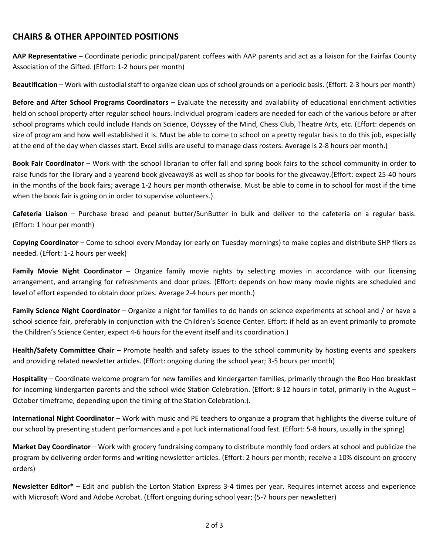## **CHAIRS & OTHER APPOINTED POSITIONS**

**AAP Representative** – Coordinate periodic principal/parent coffees with AAP parents and act as a liaison for the Fairfax County Association of the Gifted. (Effort: 1‐2 hours per month)

**Beautification** – Work with custodial staff to organize clean ups of school grounds on a periodic basis. (Effort: 2‐3 hours per month)

**Before and After School Programs Coordinators** – Evaluate the necessity and availability of educational enrichment activities held on school property after regular school hours. Individual program leaders are needed for each of the various before or after school programs which could include Hands on Science, Odyssey of the Mind, Chess Club, Theatre Arts, etc. (Effort: depends on size of program and how well established it is. Must be able to come to school on a pretty regular basis to do this job, especially at the end of the day when classes start. Excel skills are useful to manage class rosters. Average is 2‐8 hours per month.)

**Book Fair Coordinator** – Work with the school librarian to offer fall and spring book fairs to the school community in order to raise funds for the library and a yearend book giveaway% as well as shop for books for the giveaway.(Effort: expect 25‐40 hours in the months of the book fairs; average 1‐2 hours per month otherwise. Must be able to come in to school for most if the time when the book fair is going on in order to supervise volunteers.)

**Cafeteria Liaison** – Purchase bread and peanut butter/SunButter in bulk and deliver to the cafeteria on a regular basis. (Effort: 1 hour per month)

**Copying Coordinator** – Come to school every Monday (or early on Tuesday mornings) to make copies and distribute SHP fliers as needed. (Effort: 1‐2 hours per week)

**Family Movie Night Coordinator** – Organize family movie nights by selecting movies in accordance with our licensing arrangement, and arranging for refreshments and door prizes. (Effort: depends on how many movie nights are scheduled and level of effort expended to obtain door prizes. Average 2‐4 hours per month.)

**Family Science Night Coordinator** – Organize a night for families to do hands on science experiments at school and / or have a school science fair, preferably in conjunction with the Children's Science Center. Effort: if held as an event primarily to promote the Children's Science Center, expect 4‐6 hours for the event itself and its coordination.)

**Health/Safety Committee Chair** – Promote health and safety issues to the school community by hosting events and speakers and providing related newsletter articles. (Effort: ongoing during the school year; 3‐5 hours per month)

**Hospitality** – Coordinate welcome program for new families and kindergarten families, primarily through the Boo Hoo breakfast for incoming kindergarten parents and the school wide Station Celebration. (Effort: 8‐12 hours in total, primarily in the August – October timeframe, depending upon the timing of the Station Celebration.).

**International Night Coordinator** – Work with music and PE teachers to organize a program that highlights the diverse culture of our school by presenting student performances and a pot luck international food fest. (Effort: 5‐8 hours, usually in the spring)

**Market Day Coordinator** – Work with grocery fundraising company to distribute monthly food orders at school and publicize the program by delivering order forms and writing newsletter articles. (Effort: 2 hours per month; receive a 10% discount on grocery orders)

**Newsletter Editor\*** – Edit and publish the Lorton Station Express 3‐4 times per year. Requires internet access and experience with Microsoft Word and Adobe Acrobat. (Effort ongoing during school year; (5‐7 hours per newsletter)